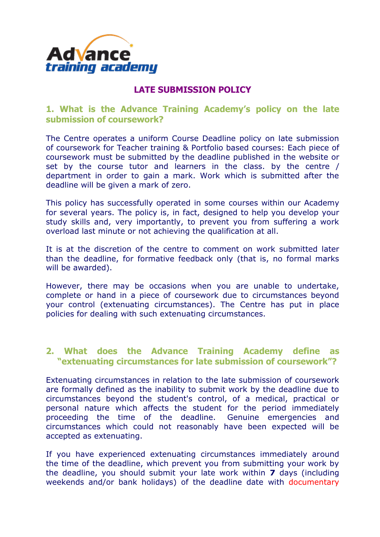

# **LATE SUBMISSION POLICY**

### **1. What is the Advance Training Academy's policy on the late submission of coursework?**

The Centre operates a uniform Course Deadline policy on late submission of coursework for Teacher training & Portfolio based courses: Each piece of coursework must be submitted by the deadline published in the website or set by the course tutor and learners in the class. by the centre / department in order to gain a mark. Work which is submitted after the deadline will be given a mark of zero.

This policy has successfully operated in some courses within our Academy for several years. The policy is, in fact, designed to help you develop your study skills and, very importantly, to prevent you from suffering a work overload last minute or not achieving the qualification at all.

It is at the discretion of the centre to comment on work submitted later than the deadline, for formative feedback only (that is, no formal marks will be awarded).

However, there may be occasions when you are unable to undertake, complete or hand in a piece of coursework due to circumstances beyond your control (extenuating circumstances). The Centre has put in place policies for dealing with such extenuating circumstances.

### **2. What does the Advance Training Academy define as "extenuating circumstances for late submission of coursework"?**

Extenuating circumstances in relation to the late submission of coursework are formally defined as the inability to submit work by the deadline due to circumstances beyond the student's control, of a medical, practical or personal nature which affects the student for the period immediately proceeding the time of the deadline. Genuine emergencies and circumstances which could not reasonably have been expected will be accepted as extenuating.

If you have experienced extenuating circumstances immediately around the time of the deadline, which prevent you from submitting your work by the deadline, you should submit your late work within **7** days (including weekends and/or bank holidays) of the deadline date with documentary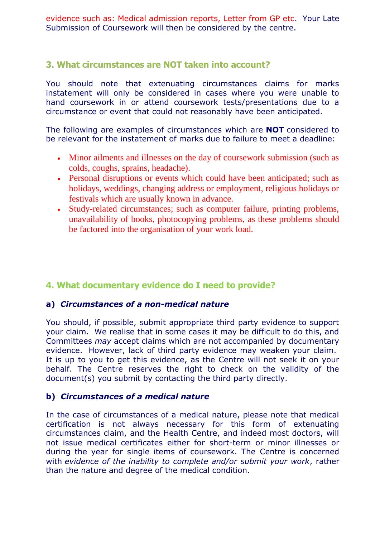evidence such as: Medical admission reports, Letter from GP etc. Your Late Submission of Coursework will then be considered by the centre.

### **3. What circumstances are NOT taken into account?**

You should note that extenuating circumstances claims for marks instatement will only be considered in cases where you were unable to hand coursework in or attend coursework tests/presentations due to a circumstance or event that could not reasonably have been anticipated.

The following are examples of circumstances which are **NOT** considered to be relevant for the instatement of marks due to failure to meet a deadline:

- Minor ailments and illnesses on the day of coursework submission (such as colds, coughs, sprains, headache).
- Personal disruptions or events which could have been anticipated; such as holidays, weddings, changing address or employment, religious holidays or festivals which are usually known in advance.
- Study-related circumstances; such as computer failure, printing problems, unavailability of books, photocopying problems, as these problems should be factored into the organisation of your work load.

## **4. What documentary evidence do I need to provide?**

#### **a)** *Circumstances of a non-medical nature*

You should, if possible, submit appropriate third party evidence to support your claim. We realise that in some cases it may be difficult to do this, and Committees *may* accept claims which are not accompanied by documentary evidence. However, lack of third party evidence may weaken your claim. It is up to you to get this evidence, as the Centre will not seek it on your behalf. The Centre reserves the right to check on the validity of the document(s) you submit by contacting the third party directly.

#### **b)** *Circumstances of a medical nature*

In the case of circumstances of a medical nature, please note that medical certification is not always necessary for this form of extenuating circumstances claim, and the Health Centre, and indeed most doctors, will not issue medical certificates either for short-term or minor illnesses or during the year for single items of coursework. The Centre is concerned with *evidence of the inability to complete and/or submit your work*, rather than the nature and degree of the medical condition.